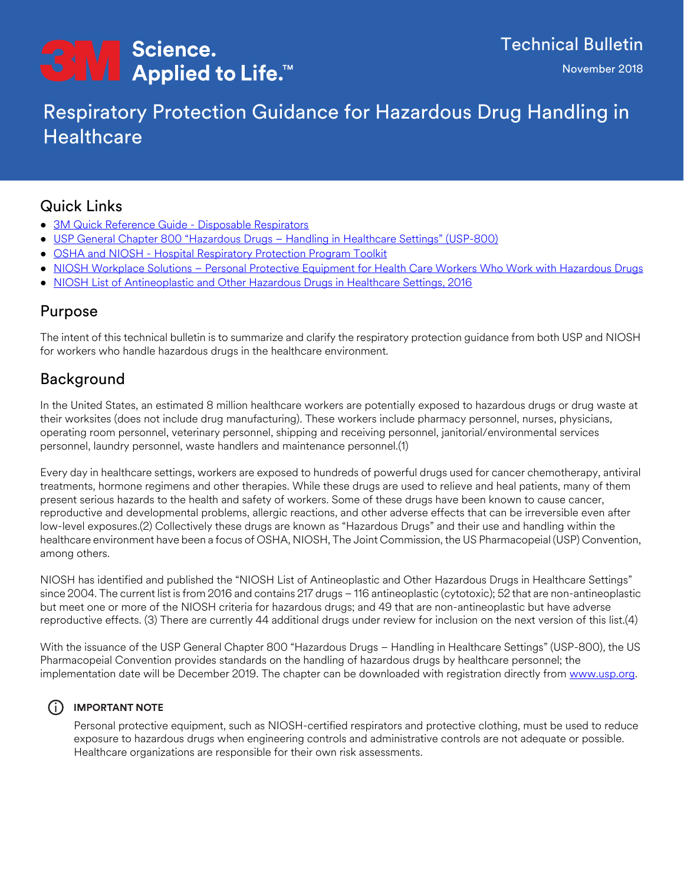# <del>C</del>M Science.<br>■ Applied to Life.™

## Respiratory Protection Guidance for Hazardous Drug Handling in **Healthcare**

## Quick Links

- [3M Quick Reference Guide Disposable Respirators](https://multimedia.3m.com/mws/media/1434267O/quick-reference-guide-disposable-respirators.pdf)
- [USP General Chapter 800 "Hazardous Drugs Handling in Healthcare Settings" \(USP-800\)](www.usp.org)
- [OSHA and NIOSH Hospital Respiratory Protection Program Toolkit](https://www.cdc.gov/niosh/docs/2015-117/default.html)
- [NIOSH Workplace Solutions Personal Protective Equipment for Health Care Workers Who Work with Hazardous Drugs](https://www.cdc.gov/niosh/docs/wp-solutions/2009-106/pdfs/2009-106.pdf)
- [NIOSH List of Antineoplastic and Other Hazardous Drugs in Healthcare Settings, 2016](https://www.cdc.gov/niosh/docs/2016-161/pdfs/2016-161.pdf)

### Purpose

The intent of this technical bulletin is to summarize and clarify the respiratory protection guidance from both USP and NIOSH for workers who handle hazardous drugs in the healthcare environment.

## Background

In the United States, an estimated 8 million healthcare workers are potentially exposed to hazardous drugs or drug waste at their worksites (does not include drug manufacturing). These workers include pharmacy personnel, nurses, physicians, operating room personnel, veterinary personnel, shipping and receiving personnel, janitorial/environmental services personnel, laundry personnel, waste handlers and maintenance personnel.(1)

Every day in healthcare settings, workers are exposed to hundreds of powerful drugs used for cancer chemotherapy, antiviral treatments, hormone regimens and other therapies. While these drugs are used to relieve and heal patients, many of them present serious hazards to the health and safety of workers. Some of these drugs have been known to cause cancer, reproductive and developmental problems, allergic reactions, and other adverse effects that can be irreversible even after low-level exposures.(2) Collectively these drugs are known as "Hazardous Drugs" and their use and handling within the healthcare environment have been a focus of OSHA, NIOSH, The Joint Commission, the US Pharmacopeial (USP) Convention, among others.

NIOSH has identified and published the "NIOSH List of Antineoplastic and Other Hazardous Drugs in Healthcare Settings" since 2004. The current list is from 2016 and contains 217 drugs – 116 antineoplastic (cytotoxic); 52 that are non-antineoplastic but meet one or more of the NIOSH criteria for hazardous drugs; and 49 that are non-antineoplastic but have adverse reproductive effects. (3) There are currently 44 additional drugs under review for inclusion on the next version of this list.(4)

With the issuance of the USP General Chapter 800 "Hazardous Drugs – Handling in Healthcare Settings" (USP-800), the US Pharmacopeial Convention provides standards on the handling of hazardous drugs by healthcare personnel; the implementation date will be December 2019. The chapter can be downloaded with registration directly from [www.usp.org.](www.usp.org)

#### i **IMPORTANT NOTE**

Personal protective equipment, such as NIOSH-certified respirators and protective clothing, must be used to reduce exposure to hazardous drugs when engineering controls and administrative controls are not adequate or possible. Healthcare organizations are responsible for their own risk assessments.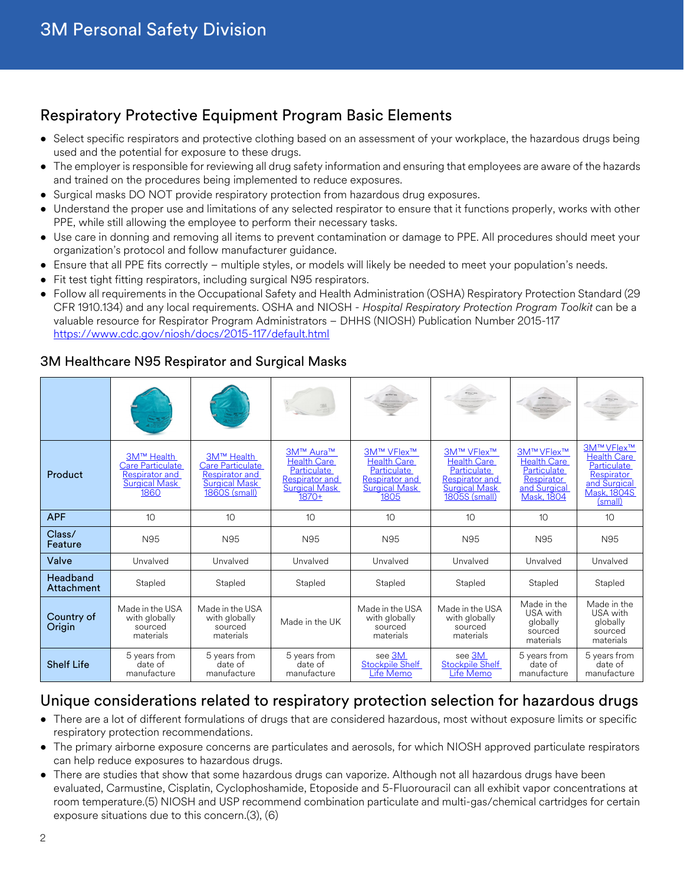## Respiratory Protective Equipment Program Basic Elements

- Select specific respirators and protective clothing based on an assessment of your workplace, the hazardous drugs being used and the potential for exposure to these drugs.
- The employer is responsible for reviewing all drug safety information and ensuring that employees are aware of the hazards and trained on the procedures being implemented to reduce exposures.
- Surgical masks DO NOT provide respiratory protection from hazardous drug exposures.
- Understand the proper use and limitations of any selected respirator to ensure that it functions properly, works with other PPE, while still allowing the employee to perform their necessary tasks.
- Use care in donning and removing all items to prevent contamination or damage to PPE. All procedures should meet your organization's protocol and follow manufacturer guidance.
- Ensure that all PPE fits correctly multiple styles, or models will likely be needed to meet your population's needs.
- Fit test tight fitting respirators, including surgical N95 respirators.
- Follow all requirements in the Occupational Safety and Health Administration (OSHA) Respiratory Protection Standard (29 CFR 1910.134) and any local requirements. OSHA and NIOSH - *Hospital Respiratory Protection Program Toolkit* can be a valuable resource for Respirator Program Administrators – DHHS (NIOSH) Publication Number 2015-117 <https://www.cdc.gov/niosh/docs/2015-117/default.html>

#### 3M Healthcare N95 Respirator and Surgical Masks

| Product                | 3M™ Health<br><b>Care Particulate</b><br>Respirator and<br><b>Surgical Mask</b><br>1860 | 3M™ Health<br><b>Care Particulate</b><br>Respirator and<br><b>Surgical Mask</b><br>1860S (small) | 3M™ Aura™<br><b>Health Care</b><br>Particulate<br><b>Respirator and</b><br><b>Surgical Mask</b><br>$1870+$ | 3M™ VFlex™<br><b>Health Care</b><br>Particulate<br>Respirator and<br><b>Surgical Mask</b><br>1805 | 3M™ VFlex™<br><b>Health Care</b><br>Particulate<br><b>Respirator and</b><br><b>Surgical Mask</b><br>1805S (small) | 3M™ VFlex™<br><b>Health Care</b><br>Particulate<br>Respirator<br>and Surgical<br><b>Mask, 1804</b> | 3M™ VFlex™<br><b>Health Care</b><br>Particulate<br>Respirator<br>and Surgical<br><b>Mask, 1804S</b><br>(small) |
|------------------------|-----------------------------------------------------------------------------------------|--------------------------------------------------------------------------------------------------|------------------------------------------------------------------------------------------------------------|---------------------------------------------------------------------------------------------------|-------------------------------------------------------------------------------------------------------------------|----------------------------------------------------------------------------------------------------|----------------------------------------------------------------------------------------------------------------|
| <b>APF</b>             | 10                                                                                      | 10                                                                                               | 10                                                                                                         | 10                                                                                                | 10                                                                                                                | 10                                                                                                 | 10                                                                                                             |
| Class/<br>Feature      | N95                                                                                     | N95                                                                                              | N95                                                                                                        | N95                                                                                               | N95                                                                                                               | N95                                                                                                | N95                                                                                                            |
| Valve                  | Unvalved                                                                                | Unvalved                                                                                         | Unvalved                                                                                                   | Unvalved                                                                                          | Unvalved                                                                                                          | Unvalved                                                                                           | Unvalved                                                                                                       |
| Headband<br>Attachment | Stapled                                                                                 | Stapled                                                                                          | Stapled                                                                                                    | Stapled                                                                                           | Stapled                                                                                                           | Stapled                                                                                            | Stapled                                                                                                        |
| Country of<br>Origin   | Made in the USA<br>with globally<br>sourced<br>materials                                | Made in the USA<br>with globally<br>sourced<br>materials                                         | Made in the UK                                                                                             | Made in the USA<br>with globally<br>sourced<br>materials                                          | Made in the USA<br>with globally<br>sourced<br>materials                                                          | Made in the<br>USA with<br>globally<br>sourced<br>materials                                        | Made in the<br>USA with<br>globally<br>sourced<br>materials                                                    |
| <b>Shelf Life</b>      | 5 years from<br>date of<br>manufacture                                                  | 5 years from<br>date of<br>manufacture                                                           | 5 years from<br>date of<br>manufacture                                                                     | see 3M<br>Stockpile Shelf<br>Life Memo                                                            | see 3M<br>Stockpile Shelf<br>Life Memo                                                                            | 5 years from<br>date of<br>manufacture                                                             | 5 years from<br>date of<br>manufacture                                                                         |

## Unique considerations related to respiratory protection selection for hazardous drugs

- There are a lot of different formulations of drugs that are considered hazardous, most without exposure limits or specific respiratory protection recommendations.
- The primary airborne exposure concerns are particulates and aerosols, for which NIOSH approved particulate respirators can help reduce exposures to hazardous drugs.
- There are studies that show that some hazardous drugs can vaporize. Although not all hazardous drugs have been evaluated, Carmustine, Cisplatin, Cyclophoshamide, Etoposide and 5-Fluorouracil can all exhibit vapor concentrations at room temperature.(5) NIOSH and USP recommend combination particulate and multi-gas/chemical cartridges for certain exposure situations due to this concern.(3), (6)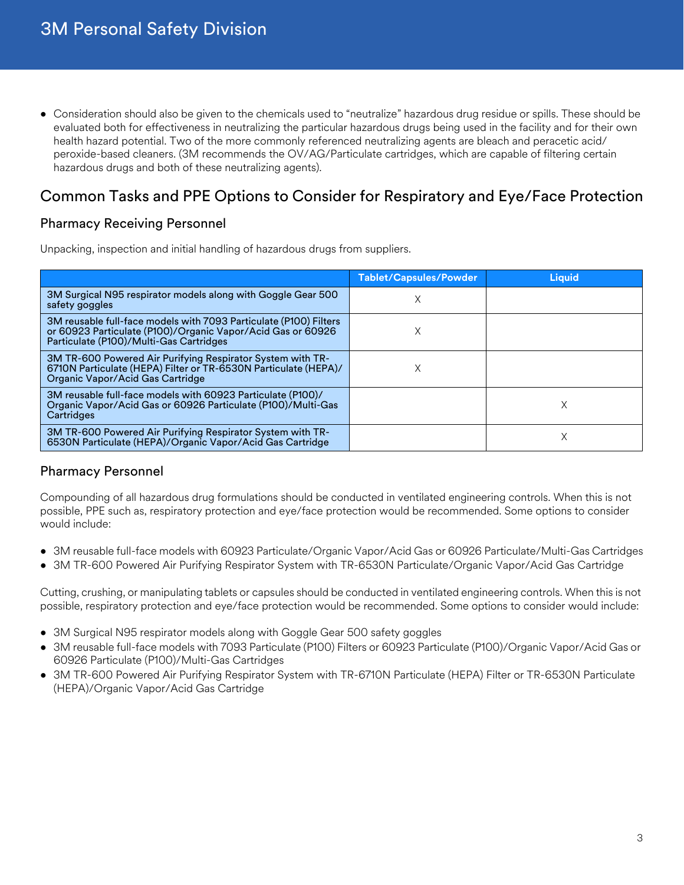• Consideration should also be given to the chemicals used to "neutralize" hazardous drug residue or spills. These should be evaluated both for effectiveness in neutralizing the particular hazardous drugs being used in the facility and for their own health hazard potential. Two of the more commonly referenced neutralizing agents are bleach and peracetic acid/ peroxide-based cleaners. (3M recommends the OV/AG/Particulate cartridges, which are capable of filtering certain hazardous drugs and both of these neutralizing agents).

## Common Tasks and PPE Options to Consider for Respiratory and Eye/Face Protection

#### Pharmacy Receiving Personnel

Unpacking, inspection and initial handling of hazardous drugs from suppliers.

|                                                                                                                                                                             | <b>Tablet/Capsules/Powder</b> | <b>Liquid</b> |
|-----------------------------------------------------------------------------------------------------------------------------------------------------------------------------|-------------------------------|---------------|
| 3M Surgical N95 respirator models along with Goggle Gear 500<br>safety goggles                                                                                              |                               |               |
| 3M reusable full-face models with 7093 Particulate (P100) Filters<br>or 60923 Particulate (P100)/Organic Vapor/Acid Gas or 60926<br>Particulate (P100)/Multi-Gas Cartridges |                               |               |
| 3M TR-600 Powered Air Purifying Respirator System with TR-<br>6710N Particulate (HEPA) Filter or TR-6530N Particulate (HEPA)/<br>Organic Vapor/Acid Gas Cartridge           |                               |               |
| 3M reusable full-face models with 60923 Particulate (P100)/<br>Organic Vapor/Acid Gas or 60926 Particulate (P100)/Multi-Gas<br>Cartridges                                   |                               | X             |
| 3M TR-600 Powered Air Purifying Respirator System with TR-<br>6530N Particulate (HEPA)/Organic Vapor/Acid Gas Cartridge                                                     |                               |               |

#### Pharmacy Personnel

Compounding of all hazardous drug formulations should be conducted in ventilated engineering controls. When this is not possible, PPE such as, respiratory protection and eye/face protection would be recommended. Some options to consider would include:

- 3M reusable full-face models with 60923 Particulate/Organic Vapor/Acid Gas or 60926 Particulate/Multi-Gas Cartridges
- 3M TR-600 Powered Air Purifying Respirator System with TR-6530N Particulate/Organic Vapor/Acid Gas Cartridge

Cutting, crushing, or manipulating tablets or capsules should be conducted in ventilated engineering controls. When this is not possible, respiratory protection and eye/face protection would be recommended. Some options to consider would include:

- 3M Surgical N95 respirator models along with Goggle Gear 500 safety goggles
- 3M reusable full-face models with 7093 Particulate (P100) Filters or 60923 Particulate (P100)/Organic Vapor/Acid Gas or 60926 Particulate (P100)/Multi-Gas Cartridges
- 3M TR-600 Powered Air Purifying Respirator System with TR-6710N Particulate (HEPA) Filter or TR-6530N Particulate (HEPA)/Organic Vapor/Acid Gas Cartridge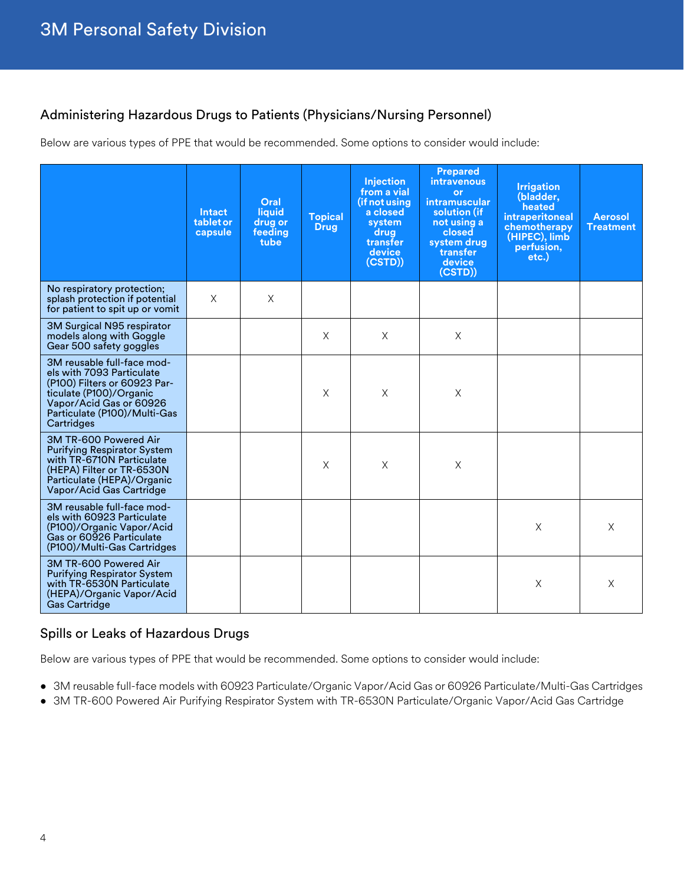#### Administering Hazardous Drugs to Patients (Physicians/Nursing Personnel)

Below are various types of PPE that would be recommended. Some options to consider would include:

|                                                                                                                                                                                             | Intact<br>tabletor<br>capsule | Oral<br>liquid<br>drug or<br>feeding<br>tube | <b>Topical</b><br><b>Drug</b> | <b>Injection</b><br>from a vial<br>(if not using<br>a closed<br>system<br>drug<br>transfer<br>device<br>(CSTD)) | <b>Prepared</b><br><b>intravenous</b><br><b>or</b><br>intramuscular<br>solution (if<br>not using a<br>closed<br>system drug<br>transfer<br>device<br>(CSTD)) | <b>Irrigation</b><br>(bladder,<br>heated<br>intraperitoneal<br>chemotherapy<br>(HIPEC), limb<br>perfusion,<br>$etc.$ ) | <b>Aerosol</b><br><b>Treatment</b> |
|---------------------------------------------------------------------------------------------------------------------------------------------------------------------------------------------|-------------------------------|----------------------------------------------|-------------------------------|-----------------------------------------------------------------------------------------------------------------|--------------------------------------------------------------------------------------------------------------------------------------------------------------|------------------------------------------------------------------------------------------------------------------------|------------------------------------|
| No respiratory protection;<br>splash protection if potential<br>for patient to spit up or vomit                                                                                             | $\times$                      | X                                            |                               |                                                                                                                 |                                                                                                                                                              |                                                                                                                        |                                    |
| 3M Surgical N95 respirator<br>models along with Goggle<br>Gear 500 safety goggles                                                                                                           |                               |                                              | $\times$                      | X                                                                                                               | $\mathsf X$                                                                                                                                                  |                                                                                                                        |                                    |
| 3M reusable full-face mod-<br>els with 7093 Particulate<br>(P100) Filters or 60923 Par-<br>ticulate (P100)/Organic<br>Vapor/Acid Gas or 60926<br>Particulate (P100)/Multi-Gas<br>Cartridges |                               |                                              | $\times$                      | X                                                                                                               | X                                                                                                                                                            |                                                                                                                        |                                    |
| 3M TR-600 Powered Air<br><b>Purifying Respirator System</b><br>with TR-6710N Particulate<br>(HEPA) Filter or TR-6530N<br>Particulate (HEPA)/Organic<br>Vapor/Acid Gas Cartridge             |                               |                                              | $\times$                      | $\times$                                                                                                        | X                                                                                                                                                            |                                                                                                                        |                                    |
| 3M reusable full-face mod-<br>els with 60923 Particulate<br>(P100)/Organic Vapor/Acid<br>Gas or 60926 Particulate<br>(P100)/Multi-Gas Cartridges                                            |                               |                                              |                               |                                                                                                                 |                                                                                                                                                              | X                                                                                                                      | X                                  |
| 3M TR-600 Powered Air<br><b>Purifying Respirator System</b><br>with TR-6530N Particulate<br>(HEPA)/Organic Vapor/Acid<br><b>Gas Cartridge</b>                                               |                               |                                              |                               |                                                                                                                 |                                                                                                                                                              | X                                                                                                                      | X                                  |

#### Spills or Leaks of Hazardous Drugs

Below are various types of PPE that would be recommended. Some options to consider would include:

- 3M reusable full-face models with 60923 Particulate/Organic Vapor/Acid Gas or 60926 Particulate/Multi-Gas Cartridges
- 3M TR-600 Powered Air Purifying Respirator System with TR-6530N Particulate/Organic Vapor/Acid Gas Cartridge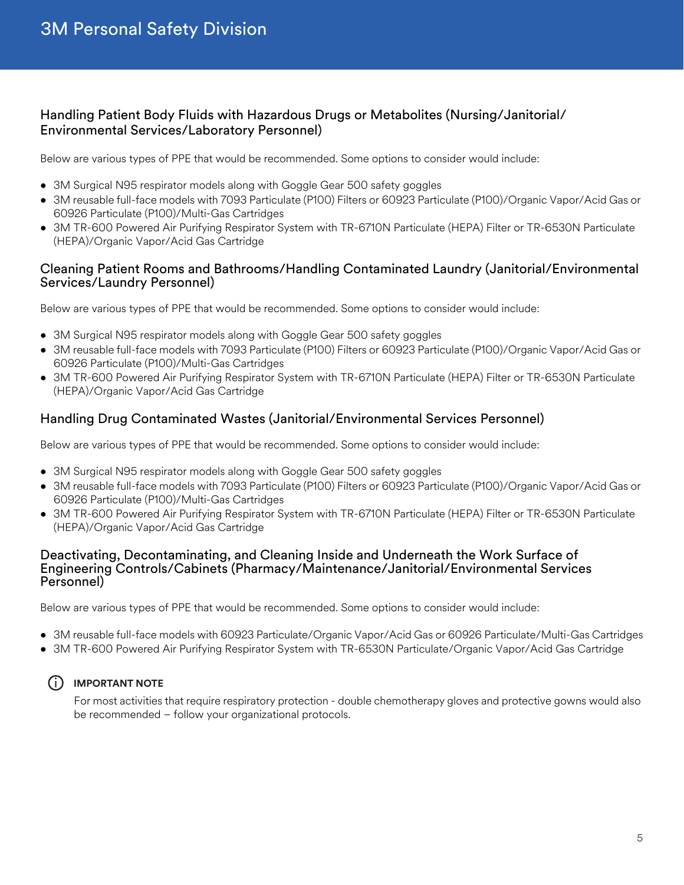#### Handling Patient Body Fluids with Hazardous Drugs or Metabolites (Nursing/Janitorial/ Environmental Services/Laboratory Personnel)

Below are various types of PPE that would be recommended. Some options to consider would include:

- 3M Surgical N95 respirator models along with Goggle Gear 500 safety goggles
- 3M reusable full-face models with 7093 Particulate (P100) Filters or 60923 Particulate (P100)/Organic Vapor/Acid Gas or 60926 Particulate (P100)/Multi-Gas Cartridges
- 3M TR-600 Powered Air Purifying Respirator System with TR-6710N Particulate (HEPA) Filter or TR-6530N Particulate (HEPA)/Organic Vapor/Acid Gas Cartridge

#### Cleaning Patient Rooms and Bathrooms/Handling Contaminated Laundry (Janitorial/Environmental Services/Laundry Personnel)

Below are various types of PPE that would be recommended. Some options to consider would include:

- 3M Surgical N95 respirator models along with Goggle Gear 500 safety goggles
- 3M reusable full-face models with 7093 Particulate (P100) Filters or 60923 Particulate (P100)/Organic Vapor/Acid Gas or 60926 Particulate (P100)/Multi-Gas Cartridges
- 3M TR-600 Powered Air Purifying Respirator System with TR-6710N Particulate (HEPA) Filter or TR-6530N Particulate (HEPA)/Organic Vapor/Acid Gas Cartridge

#### Handling Drug Contaminated Wastes (Janitorial/Environmental Services Personnel)

Below are various types of PPE that would be recommended. Some options to consider would include:

- 3M Surgical N95 respirator models along with Goggle Gear 500 safety goggles
- 3M reusable full-face models with 7093 Particulate (P100) Filters or 60923 Particulate (P100)/Organic Vapor/Acid Gas or 60926 Particulate (P100)/Multi-Gas Cartridges
- 3M TR-600 Powered Air Purifying Respirator System with TR-6710N Particulate (HEPA) Filter or TR-6530N Particulate (HEPA)/Organic Vapor/Acid Gas Cartridge

#### Deactivating, Decontaminating, and Cleaning Inside and Underneath the Work Surface of Engineering Controls/Cabinets (Pharmacy/Maintenance/Janitorial/Environmental Services Personnel)

Below are various types of PPE that would be recommended. Some options to consider would include:

- 3M reusable full-face models with 60923 Particulate/Organic Vapor/Acid Gas or 60926 Particulate/Multi-Gas Cartridges
- 3M TR-600 Powered Air Purifying Respirator System with TR-6530N Particulate/Organic Vapor/Acid Gas Cartridge

#### $(i)$  **IMPORTANT NOTE**

For most activities that require respiratory protection - double chemotherapy gloves and protective gowns would also be recommended – follow your organizational protocols.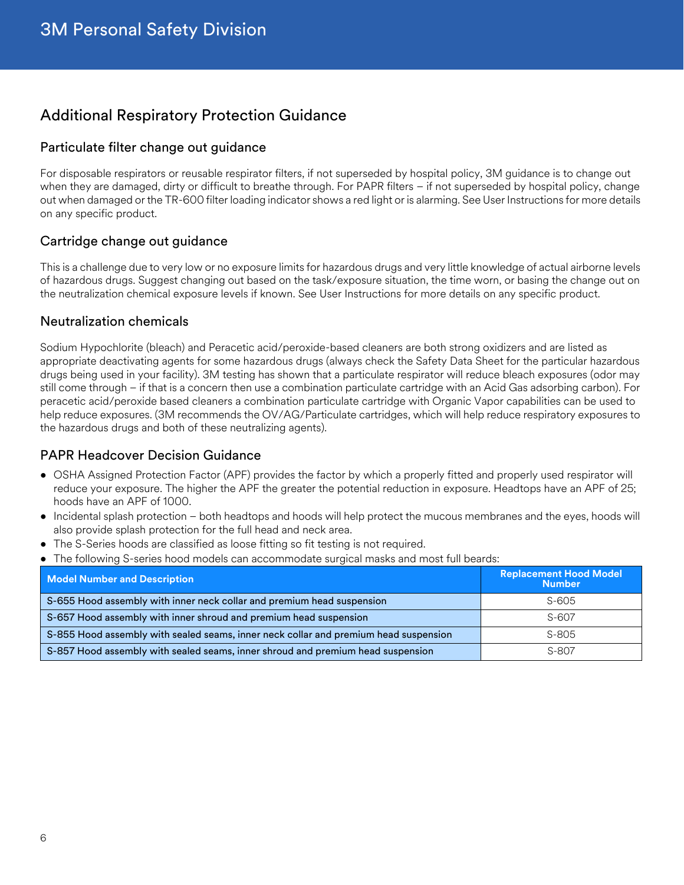## Additional Respiratory Protection Guidance

#### Particulate filter change out guidance

For disposable respirators or reusable respirator filters, if not superseded by hospital policy, 3M guidance is to change out when they are damaged, dirty or difficult to breathe through. For PAPR filters – if not superseded by hospital policy, change out when damaged or the TR-600 filter loading indicator shows a red light or is alarming. See User Instructions for more details on any specific product.

#### Cartridge change out guidance

This is a challenge due to very low or no exposure limits for hazardous drugs and very little knowledge of actual airborne levels of hazardous drugs. Suggest changing out based on the task/exposure situation, the time worn, or basing the change out on the neutralization chemical exposure levels if known. See User Instructions for more details on any specific product.

#### Neutralization chemicals

Sodium Hypochlorite (bleach) and Peracetic acid/peroxide-based cleaners are both strong oxidizers and are listed as appropriate deactivating agents for some hazardous drugs (always check the Safety Data Sheet for the particular hazardous drugs being used in your facility). 3M testing has shown that a particulate respirator will reduce bleach exposures (odor may still come through – if that is a concern then use a combination particulate cartridge with an Acid Gas adsorbing carbon). For peracetic acid/peroxide based cleaners a combination particulate cartridge with Organic Vapor capabilities can be used to help reduce exposures. (3M recommends the OV/AG/Particulate cartridges, which will help reduce respiratory exposures to the hazardous drugs and both of these neutralizing agents).

#### PAPR Headcover Decision Guidance

- OSHA Assigned Protection Factor (APF) provides the factor by which a properly fitted and properly used respirator will reduce your exposure. The higher the APF the greater the potential reduction in exposure. Headtops have an APF of 25; hoods have an APF of 1000.
- Incidental splash protection both headtops and hoods will help protect the mucous membranes and the eyes, hoods will also provide splash protection for the full head and neck area.
- The S-Series hoods are classified as loose fitting so fit testing is not required.
- The following S-series hood models can accommodate surgical masks and most full beards:

| <b>Model Number and Description</b>                                                  | <b>Replacement Hood Model</b><br><b>Number</b> |  |  |
|--------------------------------------------------------------------------------------|------------------------------------------------|--|--|
| S-655 Hood assembly with inner neck collar and premium head suspension               | S-605                                          |  |  |
| S-657 Hood assembly with inner shroud and premium head suspension                    | $S-607$                                        |  |  |
| S-855 Hood assembly with sealed seams, inner neck collar and premium head suspension | $S-805$                                        |  |  |
| S-857 Hood assembly with sealed seams, inner shroud and premium head suspension      | S-807                                          |  |  |